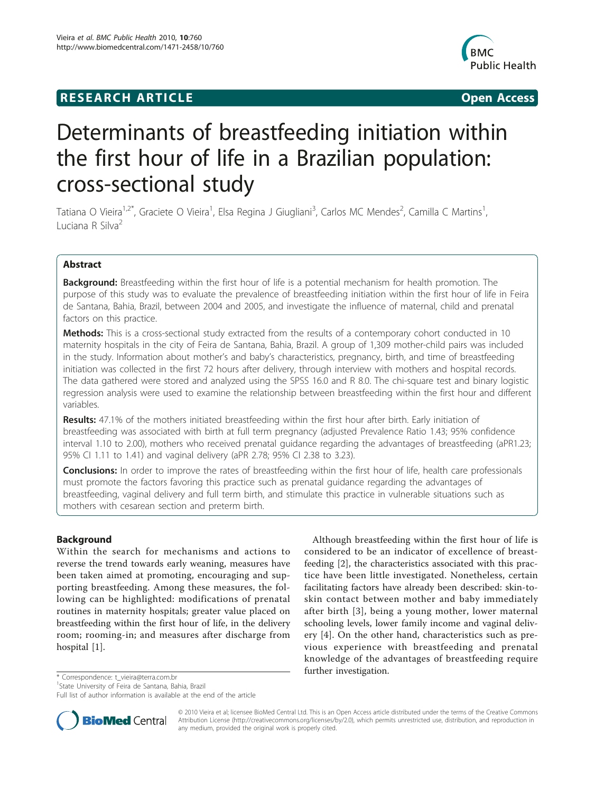## **RESEARCH ARTICLE Example 2018 CONSIDERING ACCESS**



# Determinants of breastfeeding initiation within the first hour of life in a Brazilian population: cross-sectional study

Tatiana O Vieira<sup>1,2\*</sup>, Graciete O Vieira<sup>1</sup>, Elsa Regina J Giugliani<sup>3</sup>, Carlos MC Mendes<sup>2</sup>, Camilla C Martins<sup>1</sup> , Luciana R Silva<sup>2</sup>

## Abstract

**Background:** Breastfeeding within the first hour of life is a potential mechanism for health promotion. The purpose of this study was to evaluate the prevalence of breastfeeding initiation within the first hour of life in Feira de Santana, Bahia, Brazil, between 2004 and 2005, and investigate the influence of maternal, child and prenatal factors on this practice.

Methods: This is a cross-sectional study extracted from the results of a contemporary cohort conducted in 10 maternity hospitals in the city of Feira de Santana, Bahia, Brazil. A group of 1,309 mother-child pairs was included in the study. Information about mother's and baby's characteristics, pregnancy, birth, and time of breastfeeding initiation was collected in the first 72 hours after delivery, through interview with mothers and hospital records. The data gathered were stored and analyzed using the SPSS 16.0 and R 8.0. The chi-square test and binary logistic regression analysis were used to examine the relationship between breastfeeding within the first hour and different variables.

Results: 47.1% of the mothers initiated breastfeeding within the first hour after birth. Early initiation of breastfeeding was associated with birth at full term pregnancy (adjusted Prevalence Ratio 1.43; 95% confidence interval 1.10 to 2.00), mothers who received prenatal guidance regarding the advantages of breastfeeding (aPR1.23; 95% CI 1.11 to 1.41) and vaginal delivery (aPR 2.78; 95% CI 2.38 to 3.23).

**Conclusions:** In order to improve the rates of breastfeeding within the first hour of life, health care professionals must promote the factors favoring this practice such as prenatal guidance regarding the advantages of breastfeeding, vaginal delivery and full term birth, and stimulate this practice in vulnerable situations such as mothers with cesarean section and preterm birth.

## Background

Within the search for mechanisms and actions to reverse the trend towards early weaning, measures have been taken aimed at promoting, encouraging and supporting breastfeeding. Among these measures, the following can be highlighted: modifications of prenatal routines in maternity hospitals; greater value placed on breastfeeding within the first hour of life, in the delivery room; rooming-in; and measures after discharge from hospital [\[1\]](#page-5-0).

Although breastfeeding within the first hour of life is considered to be an indicator of excellence of breastfeeding [[2\]](#page-5-0), the characteristics associated with this practice have been little investigated. Nonetheless, certain facilitating factors have already been described: skin-toskin contact between mother and baby immediately after birth [[3](#page-5-0)], being a young mother, lower maternal schooling levels, lower family income and vaginal delivery [\[4](#page-5-0)]. On the other hand, characteristics such as previous experience with breastfeeding and prenatal knowledge of the advantages of breastfeeding require

further investigation. \* Correspondence: [t\\_vieira@terra.com.br](mailto:t_vieira@terra.com.br)

Full list of author information is available at the end of the article



© 2010 Vieira et al; licensee BioMed Central Ltd. This is an Open Access article distributed under the terms of the Creative Commons Attribution License [\(http://creativecommons.org/licenses/by/2.0](http://creativecommons.org/licenses/by/2.0)), which permits unrestricted use, distribution, and reproduction in any medium, provided the original work is properly cited.

<sup>&</sup>lt;sup>1</sup>State University of Feira de Santana, Bahia, Brazil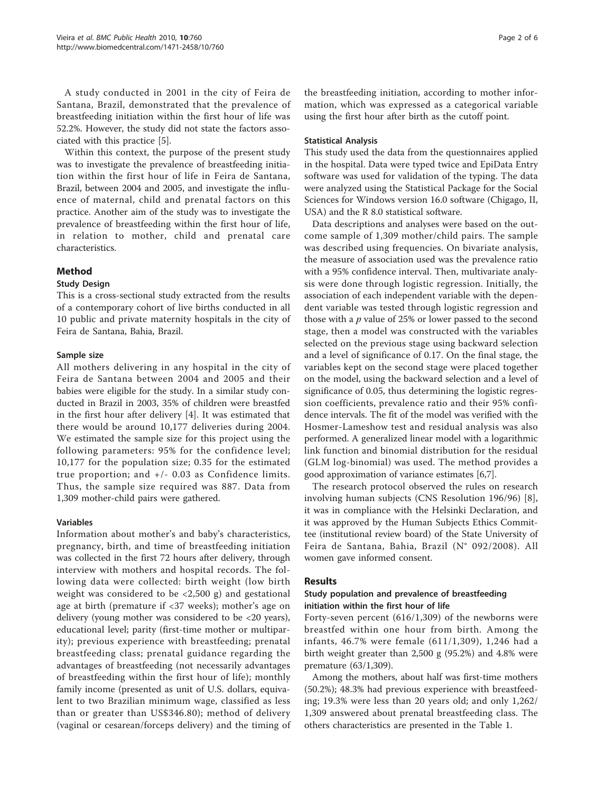A study conducted in 2001 in the city of Feira de Santana, Brazil, demonstrated that the prevalence of breastfeeding initiation within the first hour of life was 52.2%. However, the study did not state the factors associated with this practice [\[5](#page-5-0)].

Within this context, the purpose of the present study was to investigate the prevalence of breastfeeding initiation within the first hour of life in Feira de Santana, Brazil, between 2004 and 2005, and investigate the influence of maternal, child and prenatal factors on this practice. Another aim of the study was to investigate the prevalence of breastfeeding within the first hour of life, in relation to mother, child and prenatal care characteristics.

## Method

### Study Design

This is a cross-sectional study extracted from the results of a contemporary cohort of live births conducted in all 10 public and private maternity hospitals in the city of Feira de Santana, Bahia, Brazil.

### Sample size

All mothers delivering in any hospital in the city of Feira de Santana between 2004 and 2005 and their babies were eligible for the study. In a similar study conducted in Brazil in 2003, 35% of children were breastfed in the first hour after delivery [[4\]](#page-5-0). It was estimated that there would be around 10,177 deliveries during 2004. We estimated the sample size for this project using the following parameters: 95% for the confidence level; 10,177 for the population size; 0.35 for the estimated true proportion; and +/- 0.03 as Confidence limits. Thus, the sample size required was 887. Data from 1,309 mother-child pairs were gathered.

### Variables

Information about mother's and baby's characteristics, pregnancy, birth, and time of breastfeeding initiation was collected in the first 72 hours after delivery, through interview with mothers and hospital records. The following data were collected: birth weight (low birth weight was considered to be <2,500 g) and gestational age at birth (premature if <37 weeks); mother's age on delivery (young mother was considered to be <20 years), educational level; parity (first-time mother or multiparity); previous experience with breastfeeding; prenatal breastfeeding class; prenatal guidance regarding the advantages of breastfeeding (not necessarily advantages of breastfeeding within the first hour of life); monthly family income (presented as unit of U.S. dollars, equivalent to two Brazilian minimum wage, classified as less than or greater than US\$346.80); method of delivery (vaginal or cesarean/forceps delivery) and the timing of the breastfeeding initiation, according to mother information, which was expressed as a categorical variable using the first hour after birth as the cutoff point.

#### Statistical Analysis

This study used the data from the questionnaires applied in the hospital. Data were typed twice and EpiData Entry software was used for validation of the typing. The data were analyzed using the Statistical Package for the Social Sciences for Windows version 16.0 software (Chigago, II, USA) and the R 8.0 statistical software.

Data descriptions and analyses were based on the outcome sample of 1,309 mother/child pairs. The sample was described using frequencies. On bivariate analysis, the measure of association used was the prevalence ratio with a 95% confidence interval. Then, multivariate analysis were done through logistic regression. Initially, the association of each independent variable with the dependent variable was tested through logistic regression and those with a  $p$  value of 25% or lower passed to the second stage, then a model was constructed with the variables selected on the previous stage using backward selection and a level of significance of 0.17. On the final stage, the variables kept on the second stage were placed together on the model, using the backward selection and a level of significance of 0.05, thus determining the logistic regression coefficients, prevalence ratio and their 95% confidence intervals. The fit of the model was verified with the Hosmer-Lameshow test and residual analysis was also performed. A generalized linear model with a logarithmic link function and binomial distribution for the residual (GLM log-binomial) was used. The method provides a good approximation of variance estimates [\[6,7](#page-5-0)].

The research protocol observed the rules on research involving human subjects (CNS Resolution 196/96) [\[8](#page-5-0)], it was in compliance with the Helsinki Declaration, and it was approved by the Human Subjects Ethics Committee (institutional review board) of the State University of Feira de Santana, Bahia, Brazil (N° 092/2008). All women gave informed consent.

### Results

### Study population and prevalence of breastfeeding initiation within the first hour of life

Forty-seven percent (616/1,309) of the newborns were breastfed within one hour from birth. Among the infants, 46.7% were female (611/1,309), 1,246 had a birth weight greater than 2,500 g (95.2%) and 4.8% were premature (63/1,309).

Among the mothers, about half was first-time mothers (50.2%); 48.3% had previous experience with breastfeeding; 19.3% were less than 20 years old; and only 1,262/ 1,309 answered about prenatal breastfeeding class. The others characteristics are presented in the Table [1.](#page-2-0)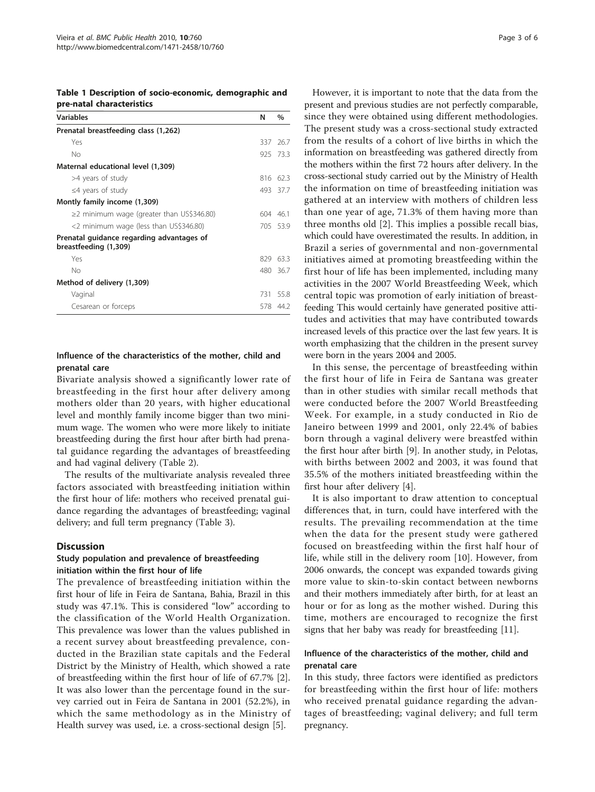<span id="page-2-0"></span>Table 1 Description of socio-economic, demographic and pre-natal characteristics

| <b>Variables</b>                                                   | N   | $\%$     |
|--------------------------------------------------------------------|-----|----------|
| Prenatal breastfeeding class (1,262)                               |     |          |
| Yes                                                                |     | 337 26.7 |
| No                                                                 |     | 925 73.3 |
| Maternal educational level (1,309)                                 |     |          |
| >4 years of study                                                  | 816 | -623     |
| $\leq$ 4 years of study                                            |     | 493 37.7 |
| Montly family income (1,309)                                       |     |          |
| ≥2 minimum wage (greater than US\$346.80)                          |     | 604 46.1 |
| <2 minimum wage (less than US\$346.80)                             |     | 705 53.9 |
| Prenatal guidance regarding advantages of<br>breastfeeding (1,309) |     |          |
| Yes                                                                | 829 | 63.3     |
| No                                                                 |     | 480 367  |
| Method of delivery (1,309)                                         |     |          |
| Vaginal                                                            | 731 | 558      |
| Cesarean or forceps                                                |     | 578 44.2 |

## Influence of the characteristics of the mother, child and prenatal care

Bivariate analysis showed a significantly lower rate of breastfeeding in the first hour after delivery among mothers older than 20 years, with higher educational level and monthly family income bigger than two minimum wage. The women who were more likely to initiate breastfeeding during the first hour after birth had prenatal guidance regarding the advantages of breastfeeding and had vaginal delivery (Table [2\)](#page-3-0).

The results of the multivariate analysis revealed three factors associated with breastfeeding initiation within the first hour of life: mothers who received prenatal guidance regarding the advantages of breastfeeding; vaginal delivery; and full term pregnancy (Table [3](#page-3-0)).

### **Discussion**

### Study population and prevalence of breastfeeding initiation within the first hour of life

The prevalence of breastfeeding initiation within the first hour of life in Feira de Santana, Bahia, Brazil in this study was 47.1%. This is considered "low" according to the classification of the World Health Organization. This prevalence was lower than the values published in a recent survey about breastfeeding prevalence, conducted in the Brazilian state capitals and the Federal District by the Ministry of Health, which showed a rate of breastfeeding within the first hour of life of 67.7% [\[2](#page-5-0)]. It was also lower than the percentage found in the survey carried out in Feira de Santana in 2001 (52.2%), in which the same methodology as in the Ministry of Health survey was used, i.e. a cross-sectional design [\[5\]](#page-5-0).

However, it is important to note that the data from the present and previous studies are not perfectly comparable, since they were obtained using different methodologies. The present study was a cross-sectional study extracted from the results of a cohort of live births in which the information on breastfeeding was gathered directly from the mothers within the first 72 hours after delivery. In the cross-sectional study carried out by the Ministry of Health the information on time of breastfeeding initiation was gathered at an interview with mothers of children less than one year of age, 71.3% of them having more than three months old [[2](#page-5-0)]. This implies a possible recall bias, which could have overestimated the results. In addition, in Brazil a series of governmental and non-governmental initiatives aimed at promoting breastfeeding within the first hour of life has been implemented, including many activities in the 2007 World Breastfeeding Week, which central topic was promotion of early initiation of breastfeeding This would certainly have generated positive attitudes and activities that may have contributed towards increased levels of this practice over the last few years. It is worth emphasizing that the children in the present survey were born in the years 2004 and 2005.

In this sense, the percentage of breastfeeding within the first hour of life in Feira de Santana was greater than in other studies with similar recall methods that were conducted before the 2007 World Breastfeeding Week. For example, in a study conducted in Rio de Janeiro between 1999 and 2001, only 22.4% of babies born through a vaginal delivery were breastfed within the first hour after birth [[9\]](#page-5-0). In another study, in Pelotas, with births between 2002 and 2003, it was found that 35.5% of the mothers initiated breastfeeding within the first hour after delivery [\[4\]](#page-5-0).

It is also important to draw attention to conceptual differences that, in turn, could have interfered with the results. The prevailing recommendation at the time when the data for the present study were gathered focused on breastfeeding within the first half hour of life, while still in the delivery room [[10\]](#page-5-0). However, from 2006 onwards, the concept was expanded towards giving more value to skin-to-skin contact between newborns and their mothers immediately after birth, for at least an hour or for as long as the mother wished. During this time, mothers are encouraged to recognize the first signs that her baby was ready for breastfeeding [[11](#page-5-0)].

## Influence of the characteristics of the mother, child and prenatal care

In this study, three factors were identified as predictors for breastfeeding within the first hour of life: mothers who received prenatal guidance regarding the advantages of breastfeeding; vaginal delivery; and full term pregnancy.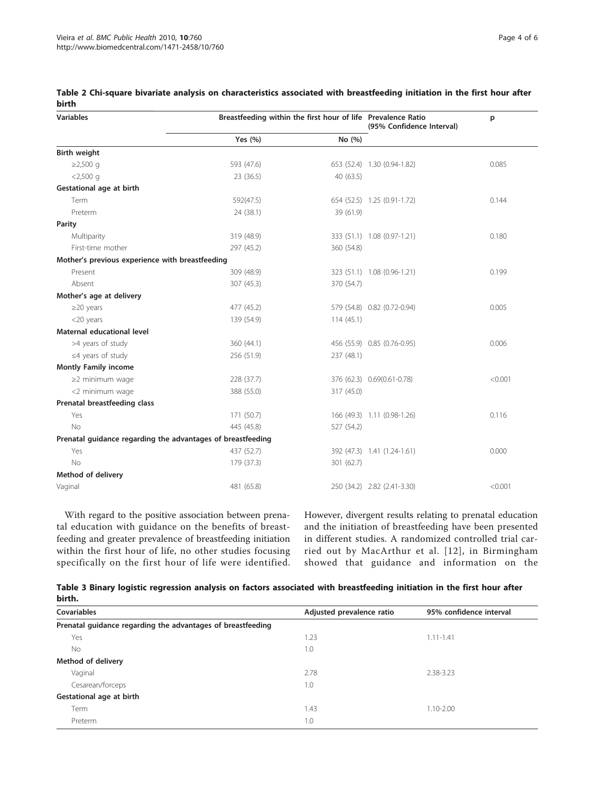| <b>Variables</b>                                            | Breastfeeding within the first hour of life Prevalence Ratio |            | (95% Confidence Interval)   | p       |  |
|-------------------------------------------------------------|--------------------------------------------------------------|------------|-----------------------------|---------|--|
|                                                             | Yes (%)                                                      | No (%)     |                             |         |  |
| <b>Birth weight</b>                                         |                                                              |            |                             |         |  |
| ≥2,500 g                                                    | 593 (47.6)                                                   |            | 653 (52.4) 1.30 (0.94-1.82) | 0.085   |  |
| $< 2,500$ q                                                 | 23 (36.5)                                                    | 40 (63.5)  |                             |         |  |
| Gestational age at birth                                    |                                                              |            |                             |         |  |
| Term                                                        | 592(47.5)                                                    |            | 654 (52.5) 1.25 (0.91-1.72) | 0.144   |  |
| Preterm                                                     | 24 (38.1)                                                    | 39 (61.9)  |                             |         |  |
| Parity                                                      |                                                              |            |                             |         |  |
| Multiparity                                                 | 319 (48.9)                                                   |            | 333 (51.1) 1.08 (0.97-1.21) | 0.180   |  |
| First-time mother                                           | 297 (45.2)                                                   | 360 (54.8) |                             |         |  |
| Mother's previous experience with breastfeeding             |                                                              |            |                             |         |  |
| Present                                                     | 309 (48.9)                                                   |            | 323 (51.1) 1.08 (0.96-1.21) | 0.199   |  |
| Absent                                                      | 307 (45.3)                                                   | 370 (54.7) |                             |         |  |
| Mother's age at delivery                                    |                                                              |            |                             |         |  |
| $\geq$ 20 years                                             | 477 (45.2)                                                   |            | 579 (54.8) 0.82 (0.72-0.94) | 0.005   |  |
| <20 years                                                   | 139 (54.9)                                                   | 114(45.1)  |                             |         |  |
| <b>Maternal educational level</b>                           |                                                              |            |                             |         |  |
| >4 years of study                                           | 360 (44.1)                                                   |            | 456 (55.9) 0.85 (0.76-0.95) | 0.006   |  |
| $\leq$ 4 years of study                                     | 256 (51.9)                                                   | 237 (48.1) |                             |         |  |
| <b>Montly Family income</b>                                 |                                                              |            |                             |         |  |
| $\geq$ 2 minimum waqe                                       | 228 (37.7)                                                   |            | 376 (62.3) 0.69 (0.61-0.78) | < 0.001 |  |
| <2 minimum wage                                             | 388 (55.0)                                                   | 317 (45.0) |                             |         |  |
| Prenatal breastfeeding class                                |                                                              |            |                             |         |  |
| Yes                                                         | 171 (50.7)                                                   |            | 166 (49.3) 1.11 (0.98-1.26) | 0.116   |  |
| No                                                          | 445 (45.8)                                                   | 527 (54.2) |                             |         |  |
| Prenatal guidance regarding the advantages of breastfeeding |                                                              |            |                             |         |  |
| Yes                                                         | 437 (52.7)                                                   |            | 392 (47.3) 1.41 (1.24-1.61) | 0.000   |  |
| <b>No</b>                                                   | 179 (37.3)                                                   | 301 (62.7) |                             |         |  |
| Method of delivery                                          |                                                              |            |                             |         |  |
| Vaginal                                                     | 481 (65.8)                                                   |            | 250 (34.2) 2.82 (2.41-3.30) | < 0.001 |  |

<span id="page-3-0"></span>Table 2 Chi-square bivariate analysis on characteristics associated with breastfeeding initiation in the first hour after birth

With regard to the positive association between prenatal education with guidance on the benefits of breastfeeding and greater prevalence of breastfeeding initiation within the first hour of life, no other studies focusing specifically on the first hour of life were identified. However, divergent results relating to prenatal education and the initiation of breastfeeding have been presented in different studies. A randomized controlled trial carried out by MacArthur et al. [[12](#page-5-0)], in Birmingham showed that guidance and information on the

|        | Table 3 Binary logistic regression analysis on factors associated with breastfeeding initiation in the first hour after |  |  |  |
|--------|-------------------------------------------------------------------------------------------------------------------------|--|--|--|
| birth. |                                                                                                                         |  |  |  |

| <b>Covariables</b>                                          | Adjusted prevalence ratio | 95% confidence interval |
|-------------------------------------------------------------|---------------------------|-------------------------|
| Prenatal guidance regarding the advantages of breastfeeding |                           |                         |
| Yes                                                         | 1.23                      | $1.11 - 1.41$           |
| No                                                          | 1.0                       |                         |
| Method of delivery                                          |                           |                         |
| Vaginal                                                     | 2.78                      | 2.38-3.23               |
| Cesarean/forceps                                            | 1.0                       |                         |
| Gestational age at birth                                    |                           |                         |
| Term                                                        | 1.43                      | $1.10 - 2.00$           |
| Preterm                                                     | 1.0                       |                         |
|                                                             |                           |                         |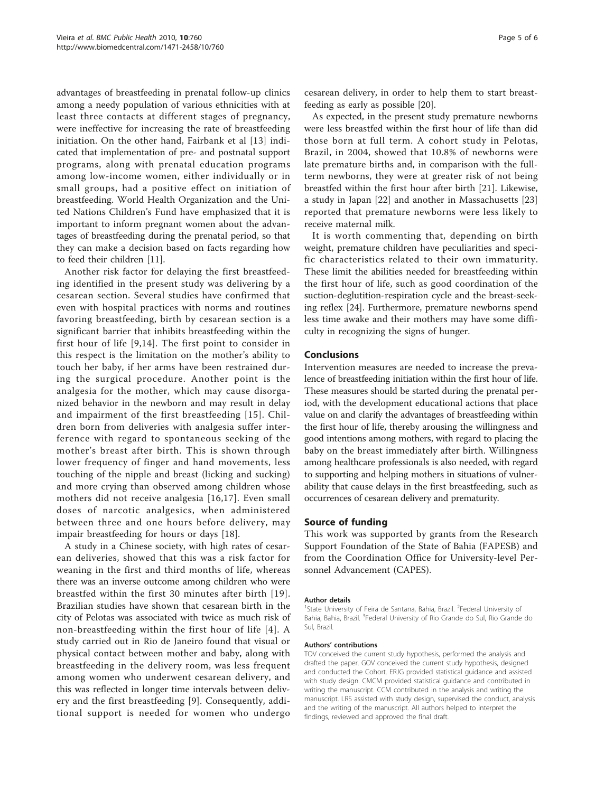advantages of breastfeeding in prenatal follow-up clinics among a needy population of various ethnicities with at least three contacts at different stages of pregnancy, were ineffective for increasing the rate of breastfeeding initiation. On the other hand, Fairbank et al [[13\]](#page-5-0) indicated that implementation of pre- and postnatal support programs, along with prenatal education programs among low-income women, either individually or in small groups, had a positive effect on initiation of breastfeeding. World Health Organization and the United Nations Children's Fund have emphasized that it is important to inform pregnant women about the advantages of breastfeeding during the prenatal period, so that they can make a decision based on facts regarding how to feed their children [\[11](#page-5-0)].

Another risk factor for delaying the first breastfeeding identified in the present study was delivering by a cesarean section. Several studies have confirmed that even with hospital practices with norms and routines favoring breastfeeding, birth by cesarean section is a significant barrier that inhibits breastfeeding within the first hour of life [[9,14](#page-5-0)]. The first point to consider in this respect is the limitation on the mother's ability to touch her baby, if her arms have been restrained during the surgical procedure. Another point is the analgesia for the mother, which may cause disorganized behavior in the newborn and may result in delay and impairment of the first breastfeeding [[15\]](#page-5-0). Children born from deliveries with analgesia suffer interference with regard to spontaneous seeking of the mother's breast after birth. This is shown through lower frequency of finger and hand movements, less touching of the nipple and breast (licking and sucking) and more crying than observed among children whose mothers did not receive analgesia [[16](#page-5-0),[17](#page-5-0)]. Even small doses of narcotic analgesics, when administered between three and one hours before delivery, may impair breastfeeding for hours or days [[18\]](#page-5-0).

A study in a Chinese society, with high rates of cesarean deliveries, showed that this was a risk factor for weaning in the first and third months of life, whereas there was an inverse outcome among children who were breastfed within the first 30 minutes after birth [[19\]](#page-5-0). Brazilian studies have shown that cesarean birth in the city of Pelotas was associated with twice as much risk of non-breastfeeding within the first hour of life [[4\]](#page-5-0). A study carried out in Rio de Janeiro found that visual or physical contact between mother and baby, along with breastfeeding in the delivery room, was less frequent among women who underwent cesarean delivery, and this was reflected in longer time intervals between delivery and the first breastfeeding [[9\]](#page-5-0). Consequently, additional support is needed for women who undergo

cesarean delivery, in order to help them to start breastfeeding as early as possible [\[20](#page-5-0)].

As expected, in the present study premature newborns were less breastfed within the first hour of life than did those born at full term. A cohort study in Pelotas, Brazil, in 2004, showed that 10.8% of newborns were late premature births and, in comparison with the fullterm newborns, they were at greater risk of not being breastfed within the first hour after birth [[21](#page-5-0)]. Likewise, a study in Japan [\[22](#page-5-0)] and another in Massachusetts [[23](#page-5-0)] reported that premature newborns were less likely to receive maternal milk.

It is worth commenting that, depending on birth weight, premature children have peculiarities and specific characteristics related to their own immaturity. These limit the abilities needed for breastfeeding within the first hour of life, such as good coordination of the suction-deglutition-respiration cycle and the breast-seeking reflex [[24\]](#page-5-0). Furthermore, premature newborns spend less time awake and their mothers may have some difficulty in recognizing the signs of hunger.

#### Conclusions

Intervention measures are needed to increase the prevalence of breastfeeding initiation within the first hour of life. These measures should be started during the prenatal period, with the development educational actions that place value on and clarify the advantages of breastfeeding within the first hour of life, thereby arousing the willingness and good intentions among mothers, with regard to placing the baby on the breast immediately after birth. Willingness among healthcare professionals is also needed, with regard to supporting and helping mothers in situations of vulnerability that cause delays in the first breastfeeding, such as occurrences of cesarean delivery and prematurity.

#### Source of funding

This work was supported by grants from the Research Support Foundation of the State of Bahia (FAPESB) and from the Coordination Office for University-level Personnel Advancement (CAPES).

#### Author details

<sup>1</sup>State University of Feira de Santana, Bahia, Brazil. <sup>2</sup>Federal University of Bahia, Bahia, Brazil. <sup>3</sup>Federal University of Rio Grande do Sul, Rio Grande do Sul, Brazil.

#### Authors' contributions

TOV conceived the current study hypothesis, performed the analysis and drafted the paper. GOV conceived the current study hypothesis, designed and conducted the Cohort. ERJG provided statistical guidance and assisted with study design. CMCM provided statistical guidance and contributed in writing the manuscript. CCM contributed in the analysis and writing the manuscript. LRS assisted with study design, supervised the conduct, analysis and the writing of the manuscript. All authors helped to interpret the findings, reviewed and approved the final draft.